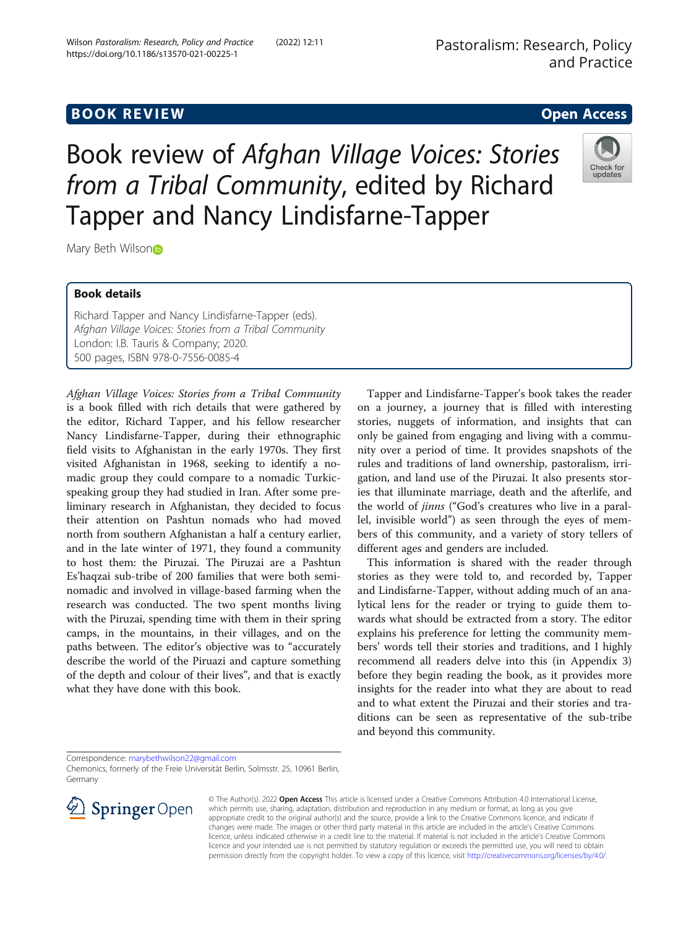Book details

Mary Beth Wilso[n](http://orcid.org/0000-0001-6589-7080)®

Richard Tapper and Nancy Lindisfarne-Tapper (eds). Afghan Village Voices: Stories from a Tribal Community London: I.B. Tauris & Company; 2020. 500 pages, ISBN 978-0-7556-0085-4

Afghan Village Voices: Stories from a Tribal Community is a book filled with rich details that were gathered by the editor, Richard Tapper, and his fellow researcher Nancy Lindisfarne-Tapper, during their ethnographic field visits to Afghanistan in the early 1970s. They first visited Afghanistan in 1968, seeking to identify a nomadic group they could compare to a nomadic Turkicspeaking group they had studied in Iran. After some preliminary research in Afghanistan, they decided to focus their attention on Pashtun nomads who had moved north from southern Afghanistan a half a century earlier, and in the late winter of 1971, they found a community to host them: the Piruzai. The Piruzai are a Pashtun Es'haqzai sub-tribe of 200 families that were both seminomadic and involved in village-based farming when the research was conducted. The two spent months living with the Piruzai, spending time with them in their spring camps, in the mountains, in their villages, and on the paths between. The editor's objective was to "accurately describe the world of the Piruazi and capture something of the depth and colour of their lives", and that is exactly what they have done with this book.

Tapper and Lindisfarne-Tapper's book takes the reader on a journey, a journey that is filled with interesting stories, nuggets of information, and insights that can only be gained from engaging and living with a community over a period of time. It provides snapshots of the rules and traditions of land ownership, pastoralism, irrigation, and land use of the Piruzai. It also presents stories that illuminate marriage, death and the afterlife, and the world of jinns ("God's creatures who live in a parallel, invisible world") as seen through the eyes of members of this community, and a variety of story tellers of different ages and genders are included.

This information is shared with the reader through stories as they were told to, and recorded by, Tapper and Lindisfarne-Tapper, without adding much of an analytical lens for the reader or trying to guide them towards what should be extracted from a story. The editor explains his preference for letting the community members' words tell their stories and traditions, and I highly recommend all readers delve into this (in Appendix 3) before they begin reading the book, as it provides more insights for the reader into what they are about to read and to what extent the Piruzai and their stories and traditions can be seen as representative of the sub-tribe and beyond this community.

Chemonics, formerly of the Freie Universität Berlin, Solmsstr. 25, 10961 Berlin, Germany



https://doi.org/10.1186/s13570-021-00225-1







Book review of Afghan Village Voices: Stories

from a Tribal Community, edited by Richard

Tapper and Nancy Lindisfarne-Tapper

Correspondence: [marybethwilson22@gmail.com](mailto:marybethwilson22@gmail.com)





© The Author(s). 2022 Open Access This article is licensed under a Creative Commons Attribution 4.0 International License, which permits use, sharing, adaptation, distribution and reproduction in any medium or format, as long as you give appropriate credit to the original author(s) and the source, provide a link to the Creative Commons licence, and indicate if changes were made. The images or other third party material in this article are included in the article's Creative Commons licence, unless indicated otherwise in a credit line to the material. If material is not included in the article's Creative Commons licence and your intended use is not permitted by statutory regulation or exceeds the permitted use, you will need to obtain permission directly from the copyright holder. To view a copy of this licence, visit <http://creativecommons.org/licenses/by/4.0/>.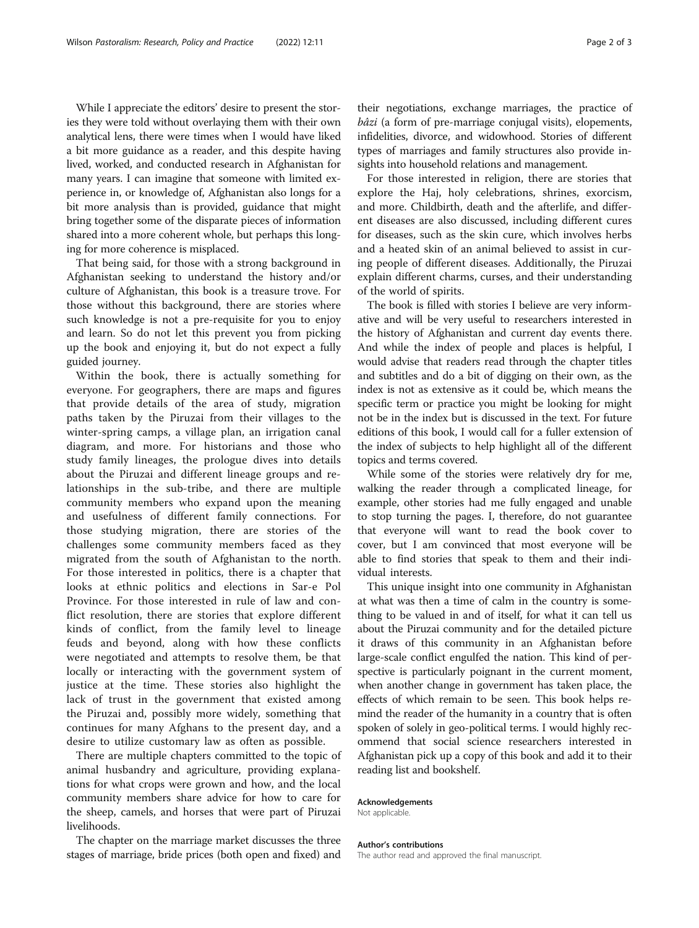While I appreciate the editors' desire to present the stories they were told without overlaying them with their own analytical lens, there were times when I would have liked a bit more guidance as a reader, and this despite having lived, worked, and conducted research in Afghanistan for many years. I can imagine that someone with limited experience in, or knowledge of, Afghanistan also longs for a bit more analysis than is provided, guidance that might bring together some of the disparate pieces of information shared into a more coherent whole, but perhaps this longing for more coherence is misplaced.

That being said, for those with a strong background in Afghanistan seeking to understand the history and/or culture of Afghanistan, this book is a treasure trove. For those without this background, there are stories where such knowledge is not a pre-requisite for you to enjoy and learn. So do not let this prevent you from picking up the book and enjoying it, but do not expect a fully guided journey.

Within the book, there is actually something for everyone. For geographers, there are maps and figures that provide details of the area of study, migration paths taken by the Piruzai from their villages to the winter-spring camps, a village plan, an irrigation canal diagram, and more. For historians and those who study family lineages, the prologue dives into details about the Piruzai and different lineage groups and relationships in the sub-tribe, and there are multiple community members who expand upon the meaning and usefulness of different family connections. For those studying migration, there are stories of the challenges some community members faced as they migrated from the south of Afghanistan to the north. For those interested in politics, there is a chapter that looks at ethnic politics and elections in Sar-e Pol Province. For those interested in rule of law and conflict resolution, there are stories that explore different kinds of conflict, from the family level to lineage feuds and beyond, along with how these conflicts were negotiated and attempts to resolve them, be that locally or interacting with the government system of justice at the time. These stories also highlight the lack of trust in the government that existed among the Piruzai and, possibly more widely, something that continues for many Afghans to the present day, and a desire to utilize customary law as often as possible.

There are multiple chapters committed to the topic of animal husbandry and agriculture, providing explanations for what crops were grown and how, and the local community members share advice for how to care for the sheep, camels, and horses that were part of Piruzai livelihoods.

The chapter on the marriage market discusses the three stages of marriage, bride prices (both open and fixed) and

their negotiations, exchange marriages, the practice of bâzi (a form of pre-marriage conjugal visits), elopements, infidelities, divorce, and widowhood. Stories of different types of marriages and family structures also provide insights into household relations and management.

For those interested in religion, there are stories that explore the Haj, holy celebrations, shrines, exorcism, and more. Childbirth, death and the afterlife, and different diseases are also discussed, including different cures for diseases, such as the skin cure, which involves herbs and a heated skin of an animal believed to assist in curing people of different diseases. Additionally, the Piruzai explain different charms, curses, and their understanding of the world of spirits.

The book is filled with stories I believe are very informative and will be very useful to researchers interested in the history of Afghanistan and current day events there. And while the index of people and places is helpful, I would advise that readers read through the chapter titles and subtitles and do a bit of digging on their own, as the index is not as extensive as it could be, which means the specific term or practice you might be looking for might not be in the index but is discussed in the text. For future editions of this book, I would call for a fuller extension of the index of subjects to help highlight all of the different topics and terms covered.

While some of the stories were relatively dry for me, walking the reader through a complicated lineage, for example, other stories had me fully engaged and unable to stop turning the pages. I, therefore, do not guarantee that everyone will want to read the book cover to cover, but I am convinced that most everyone will be able to find stories that speak to them and their individual interests.

This unique insight into one community in Afghanistan at what was then a time of calm in the country is something to be valued in and of itself, for what it can tell us about the Piruzai community and for the detailed picture it draws of this community in an Afghanistan before large-scale conflict engulfed the nation. This kind of perspective is particularly poignant in the current moment, when another change in government has taken place, the effects of which remain to be seen. This book helps remind the reader of the humanity in a country that is often spoken of solely in geo-political terms. I would highly recommend that social science researchers interested in Afghanistan pick up a copy of this book and add it to their reading list and bookshelf.

#### Acknowledgements

Not applicable.

### Author's contributions

The author read and approved the final manuscript.